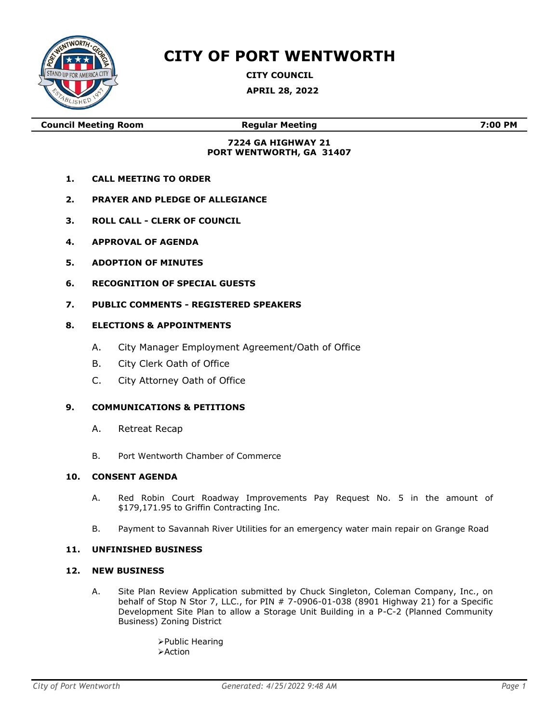

# **CITY OF PORT WENTWORTH**

**CITY COUNCIL**

**APRIL 28, 2022**

**Council Meeting Room Regular Meeting 7:00 PM**

### **7224 GA HIGHWAY 21 PORT WENTWORTH, GA 31407**

- **1. CALL MEETING TO ORDER**
- **2. PRAYER AND PLEDGE OF ALLEGIANCE**
- **3. ROLL CALL - CLERK OF COUNCIL**
- **4. APPROVAL OF AGENDA**
- **5. ADOPTION OF MINUTES**
- **6. RECOGNITION OF SPECIAL GUESTS**
- **7. PUBLIC COMMENTS - REGISTERED SPEAKERS**

#### **8. ELECTIONS & APPOINTMENTS**

- A. City Manager Employment Agreement/Oath of Office
- B. City Clerk Oath of Office
- C. City Attorney Oath of Office

### **9. COMMUNICATIONS & PETITIONS**

- A. Retreat Recap
- B. Port Wentworth Chamber of Commerce

#### **10. CONSENT AGENDA**

- A. Red Robin Court Roadway Improvements Pay Request No. 5 in the amount of \$179,171.95 to Griffin Contracting Inc.
- B. Payment to Savannah River Utilities for an emergency water main repair on Grange Road

#### **11. UNFINISHED BUSINESS**

#### **12. NEW BUSINESS**

A. Site Plan Review Application submitted by Chuck Singleton, Coleman Company, Inc., on behalf of Stop N Stor 7, LLC., for PIN # 7-0906-01-038 (8901 Highway 21) for a Specific Development Site Plan to allow a Storage Unit Building in a P-C-2 (Planned Community Business) Zoning District

> ➢Public Hearing ➢Action